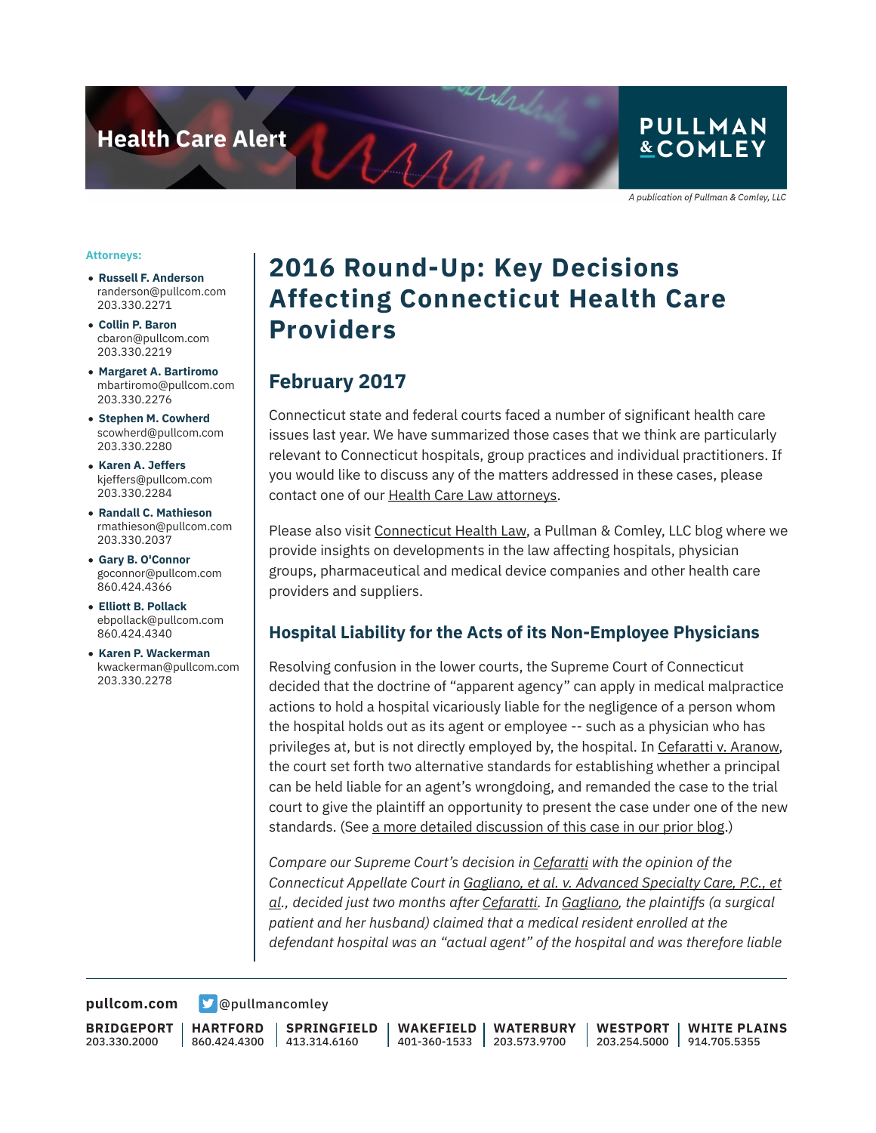**Health Care Alert** 

## **PULLMAN &COMLEY**

A publication of Pullman & Comley, LLC

#### **Attorneys:**

- **Russell F. Anderson** randerson@pullcom.com 203.330.2271
- **Collin P. Baron** cbaron@pullcom.com 203.330.2219
- **Margaret A. Bartiromo** mbartiromo@pullcom.com 203.330.2276
- **Stephen M. Cowherd** scowherd@pullcom.com 203.330.2280
- **Karen A. Jeffers** kjeffers@pullcom.com 203.330.2284
- **Randall C. Mathieson** rmathieson@pullcom.com 203.330.2037
- **Gary B. O'Connor** goconnor@pullcom.com 860.424.4366
- **Elliott B. Pollack** ebpollack@pullcom.com 860.424.4340
- **Karen P. Wackerman** kwackerman@pullcom.com 203.330.2278

## **2016 Round-Up: Key Decisions Affecting Connecticut Health Care Providers**

### **February 2017**

 $A_{A}$ 

Connecticut state and federal courts faced a number of significant health care issues last year. We have summarized those cases that we think are particularly relevant to Connecticut hospitals, group practices and individual practitioners. If you would like to discuss any of the matters addressed in these cases, please contact one of our Health Care Law attorneys.

Please also visit Connecticut Health Law, a Pullman & Comley, LLC blog where we provide insights on developments in the law affecting hospitals, physician groups, pharmaceutical and medical device companies and other health care providers and suppliers.

#### **Hospital Liability for the Acts of its Non-Employee Physicians**

Resolving confusion in the lower courts, the Supreme Court of Connecticut decided that the doctrine of "apparent agency" can apply in medical malpractice actions to hold a hospital vicariously liable for the negligence of a person whom the hospital holds out as its agent or employee -- such as a physician who has privileges at, but is not directly employed by, the hospital. In Cefaratti v. Aranow, the court set forth two alternative standards for establishing whether a principal can be held liable for an agent's wrongdoing, and remanded the case to the trial court to give the plaintiff an opportunity to present the case under one of the new standards. (See a more detailed discussion of this case in our prior blog.)

*Compare our Supreme Court's decision in Cefaratti with the opinion of the Connecticut Appellate Court in Gagliano, et al. v. Advanced Specialty Care, P.C., et al., decided just two months after Cefaratti. In Gagliano, the plaintiffs (a surgical patient and her husband) claimed that a medical resident enrolled at the defendant hospital was an "actual agent" of the hospital and was therefore liable*

**[pullcom.com](https://www.pullcom.com) g** [@pullmancomley](https://twitter.com/PullmanComley)

**BRIDGEPORT** 203.330.2000

**HARTFORD** 860.424.4300

**SPRINGFIELD** 413.314.6160

**WAKEFIELD** 401-360-1533 203.573.9700 **WATERBURY WESTPORT**

203.254.5000 914.705.5355 **WHITE PLAINS**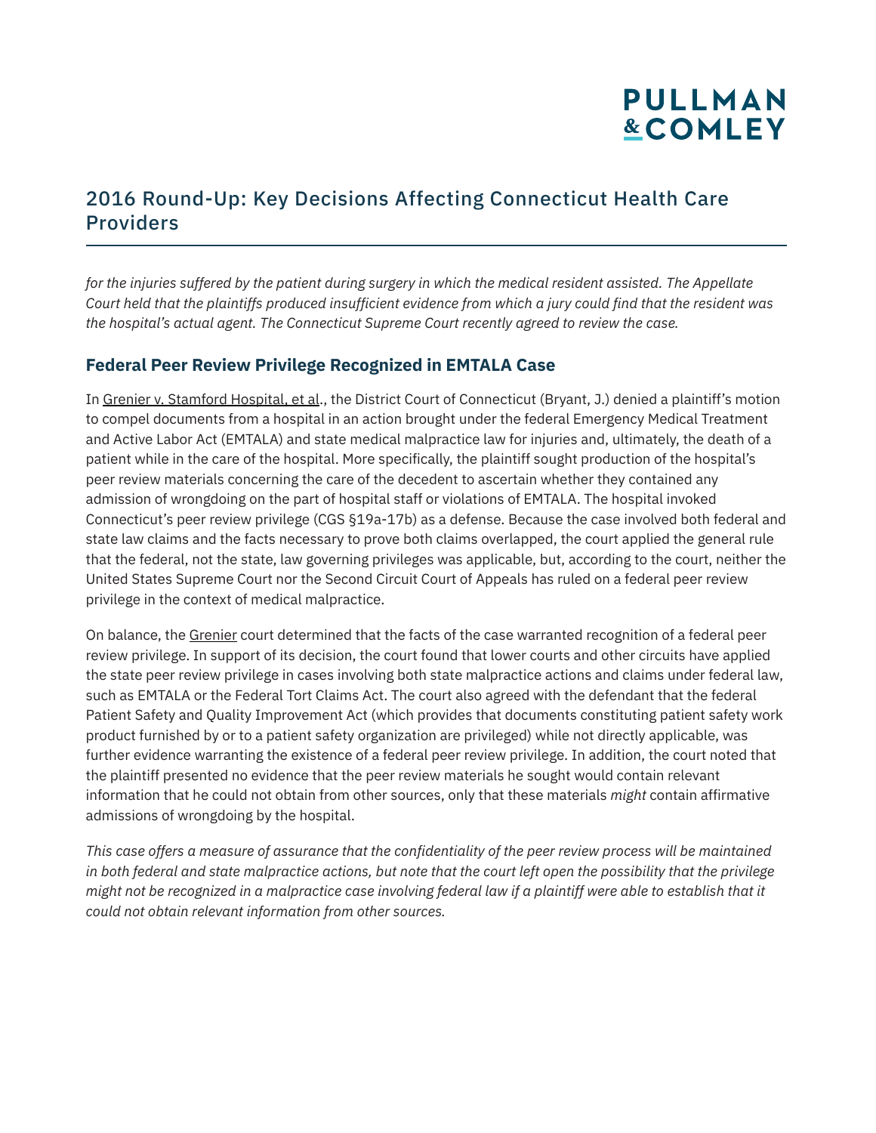## 2016 Round-Up: Key Decisions Affecting Connecticut Health Care Providers

*for the injuries suffered by the patient during surgery in which the medical resident assisted. The Appellate Court held that the plaintiffs produced insufficient evidence from which a jury could find that the resident was the hospital's actual agent. The Connecticut Supreme Court recently agreed to review the case.*

#### **Federal Peer Review Privilege Recognized in EMTALA Case**

In Grenier v. Stamford Hospital, et al., the District Court of Connecticut (Bryant, J.) denied a plaintiff's motion to compel documents from a hospital in an action brought under the federal Emergency Medical Treatment and Active Labor Act (EMTALA) and state medical malpractice law for injuries and, ultimately, the death of a patient while in the care of the hospital. More specifically, the plaintiff sought production of the hospital's peer review materials concerning the care of the decedent to ascertain whether they contained any admission of wrongdoing on the part of hospital staff or violations of EMTALA. The hospital invoked Connecticut's peer review privilege (CGS §19a-17b) as a defense. Because the case involved both federal and state law claims and the facts necessary to prove both claims overlapped, the court applied the general rule that the federal, not the state, law governing privileges was applicable, but, according to the court, neither the United States Supreme Court nor the Second Circuit Court of Appeals has ruled on a federal peer review privilege in the context of medical malpractice.

On balance, the Grenier court determined that the facts of the case warranted recognition of a federal peer review privilege. In support of its decision, the court found that lower courts and other circuits have applied the state peer review privilege in cases involving both state malpractice actions and claims under federal law, such as EMTALA or the Federal Tort Claims Act. The court also agreed with the defendant that the federal Patient Safety and Quality Improvement Act (which provides that documents constituting patient safety work product furnished by or to a patient safety organization are privileged) while not directly applicable, was further evidence warranting the existence of a federal peer review privilege. In addition, the court noted that the plaintiff presented no evidence that the peer review materials he sought would contain relevant information that he could not obtain from other sources, only that these materials *might* contain affirmative admissions of wrongdoing by the hospital.

*This case offers a measure of assurance that the confidentiality of the peer review process will be maintained in both federal and state malpractice actions, but note that the court left open the possibility that the privilege might not be recognized in a malpractice case involving federal law if a plaintiff were able to establish that it could not obtain relevant information from other sources.*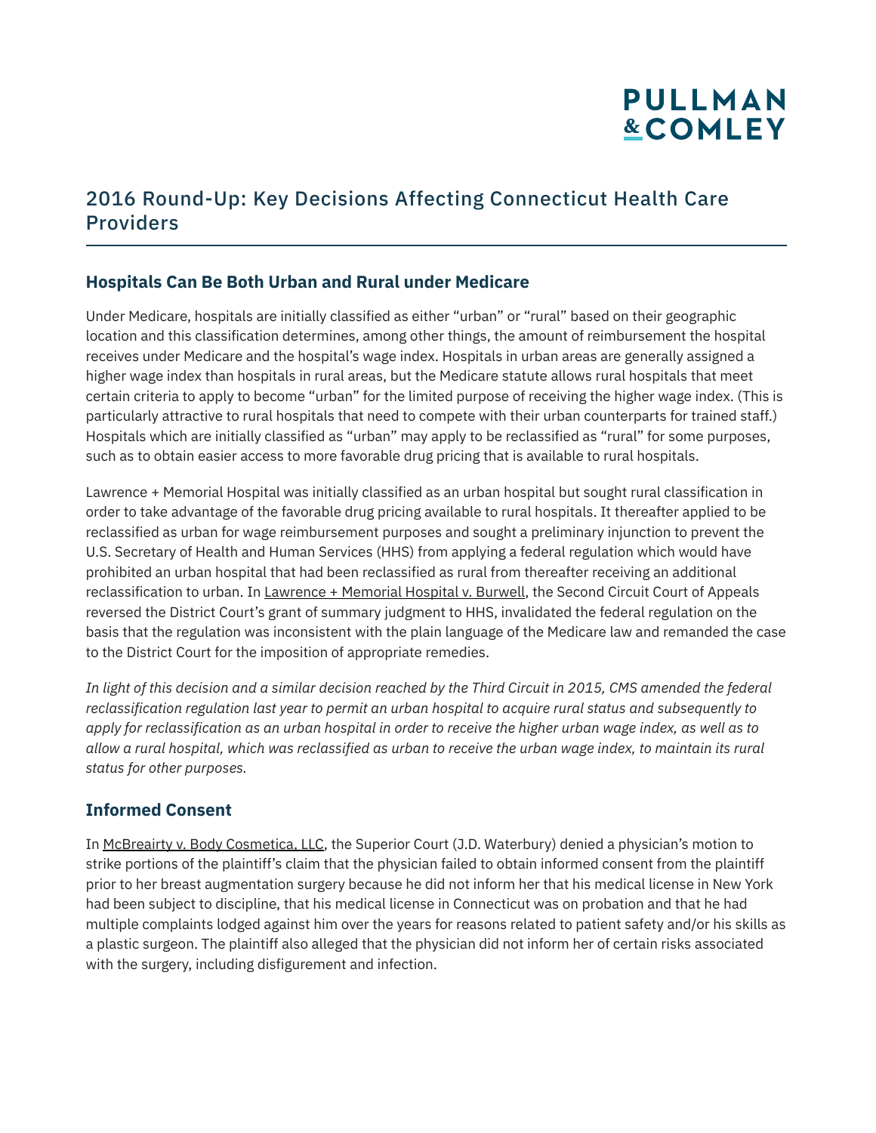## 2016 Round-Up: Key Decisions Affecting Connecticut Health Care Providers

### **Hospitals Can Be Both Urban and Rural under Medicare**

Under Medicare, hospitals are initially classified as either "urban" or "rural" based on their geographic location and this classification determines, among other things, the amount of reimbursement the hospital receives under Medicare and the hospital's wage index. Hospitals in urban areas are generally assigned a higher wage index than hospitals in rural areas, but the Medicare statute allows rural hospitals that meet certain criteria to apply to become "urban" for the limited purpose of receiving the higher wage index. (This is particularly attractive to rural hospitals that need to compete with their urban counterparts for trained staff.) Hospitals which are initially classified as "urban" may apply to be reclassified as "rural" for some purposes, such as to obtain easier access to more favorable drug pricing that is available to rural hospitals.

Lawrence + Memorial Hospital was initially classified as an urban hospital but sought rural classification in order to take advantage of the favorable drug pricing available to rural hospitals. It thereafter applied to be reclassified as urban for wage reimbursement purposes and sought a preliminary injunction to prevent the U.S. Secretary of Health and Human Services (HHS) from applying a federal regulation which would have prohibited an urban hospital that had been reclassified as rural from thereafter receiving an additional reclassification to urban. In Lawrence + Memorial Hospital v. Burwell, the Second Circuit Court of Appeals reversed the District Court's grant of summary judgment to HHS, invalidated the federal regulation on the basis that the regulation was inconsistent with the plain language of the Medicare law and remanded the case to the District Court for the imposition of appropriate remedies.

*In light of this decision and a similar decision reached by the Third Circuit in 2015, CMS amended the federal reclassification regulation last year to permit an urban hospital to acquire rural status and subsequently to apply for reclassification as an urban hospital in order to receive the higher urban wage index, as well as to allow a rural hospital, which was reclassified as urban to receive the urban wage index, to maintain its rural status for other purposes.*

### **Informed Consent**

In McBreairty v. Body Cosmetica, LLC, the Superior Court (J.D. Waterbury) denied a physician's motion to strike portions of the plaintiff's claim that the physician failed to obtain informed consent from the plaintiff prior to her breast augmentation surgery because he did not inform her that his medical license in New York had been subject to discipline, that his medical license in Connecticut was on probation and that he had multiple complaints lodged against him over the years for reasons related to patient safety and/or his skills as a plastic surgeon. The plaintiff also alleged that the physician did not inform her of certain risks associated with the surgery, including disfigurement and infection.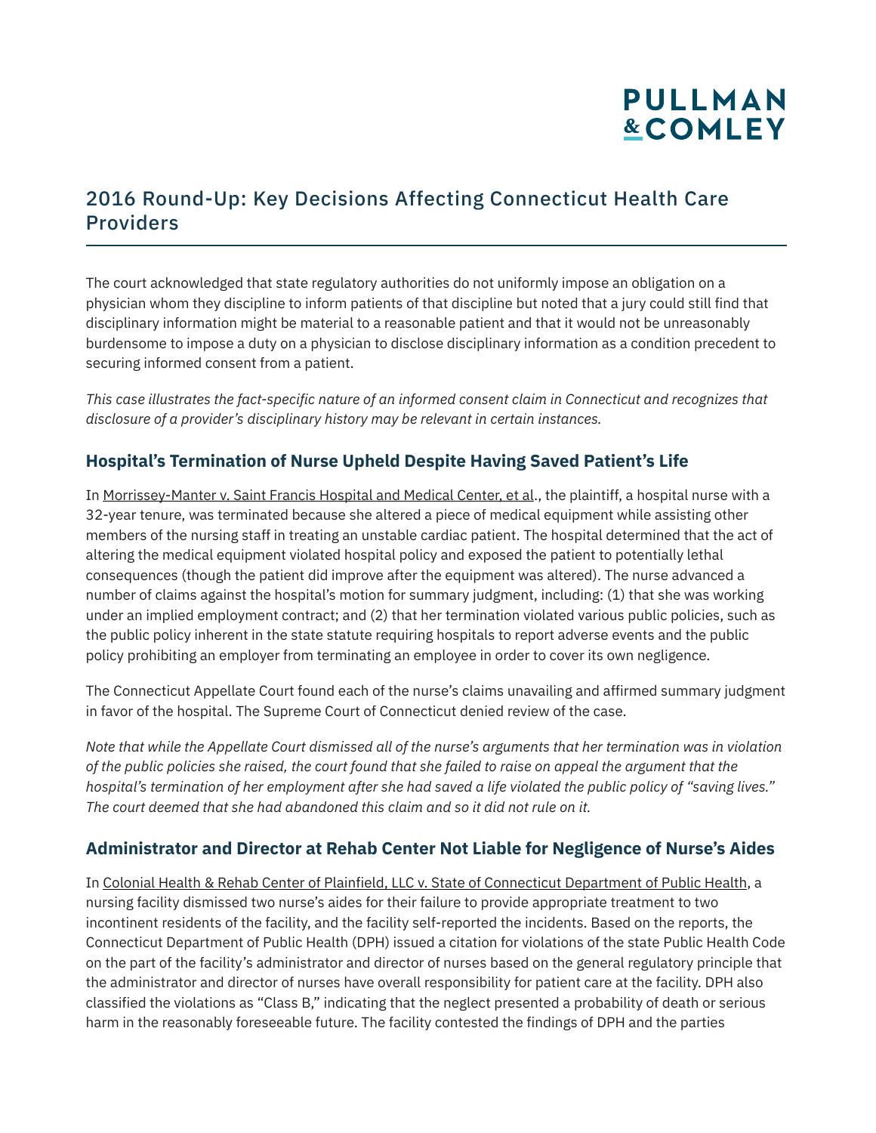## 2016 Round-Up: Key Decisions Affecting Connecticut Health Care Providers

The court acknowledged that state regulatory authorities do not uniformly impose an obligation on a physician whom they discipline to inform patients of that discipline but noted that a jury could still find that disciplinary information might be material to a reasonable patient and that it would not be unreasonably burdensome to impose a duty on a physician to disclose disciplinary information as a condition precedent to securing informed consent from a patient.

*This case illustrates the fact-specific nature of an informed consent claim in Connecticut and recognizes that disclosure of a provider's disciplinary history may be relevant in certain instances.* 

#### **Hospital's Termination of Nurse Upheld Despite Having Saved Patient's Life**

In Morrissey-Manter v. Saint Francis Hospital and Medical Center, et al., the plaintiff, a hospital nurse with a 32-year tenure, was terminated because she altered a piece of medical equipment while assisting other members of the nursing staff in treating an unstable cardiac patient. The hospital determined that the act of altering the medical equipment violated hospital policy and exposed the patient to potentially lethal consequences (though the patient did improve after the equipment was altered). The nurse advanced a number of claims against the hospital's motion for summary judgment, including: (1) that she was working under an implied employment contract; and (2) that her termination violated various public policies, such as the public policy inherent in the state statute requiring hospitals to report adverse events and the public policy prohibiting an employer from terminating an employee in order to cover its own negligence.

The Connecticut Appellate Court found each of the nurse's claims unavailing and affirmed summary judgment in favor of the hospital. The Supreme Court of Connecticut denied review of the case.

*Note that while the Appellate Court dismissed all of the nurse's arguments that her termination was in violation of the public policies she raised, the court found that she failed to raise on appeal the argument that the hospital's termination of her employment after she had saved a life violated the public policy of "saving lives." The court deemed that she had abandoned this claim and so it did not rule on it.*

### **Administrator and Director at Rehab Center Not Liable for Negligence of Nurse's Aides**

In Colonial Health & Rehab Center of Plainfield, LLC v. State of Connecticut Department of Public Health, a nursing facility dismissed two nurse's aides for their failure to provide appropriate treatment to two incontinent residents of the facility, and the facility self-reported the incidents. Based on the reports, the Connecticut Department of Public Health (DPH) issued a citation for violations of the state Public Health Code on the part of the facility's administrator and director of nurses based on the general regulatory principle that the administrator and director of nurses have overall responsibility for patient care at the facility. DPH also classified the violations as "Class B," indicating that the neglect presented a probability of death or serious harm in the reasonably foreseeable future. The facility contested the findings of DPH and the parties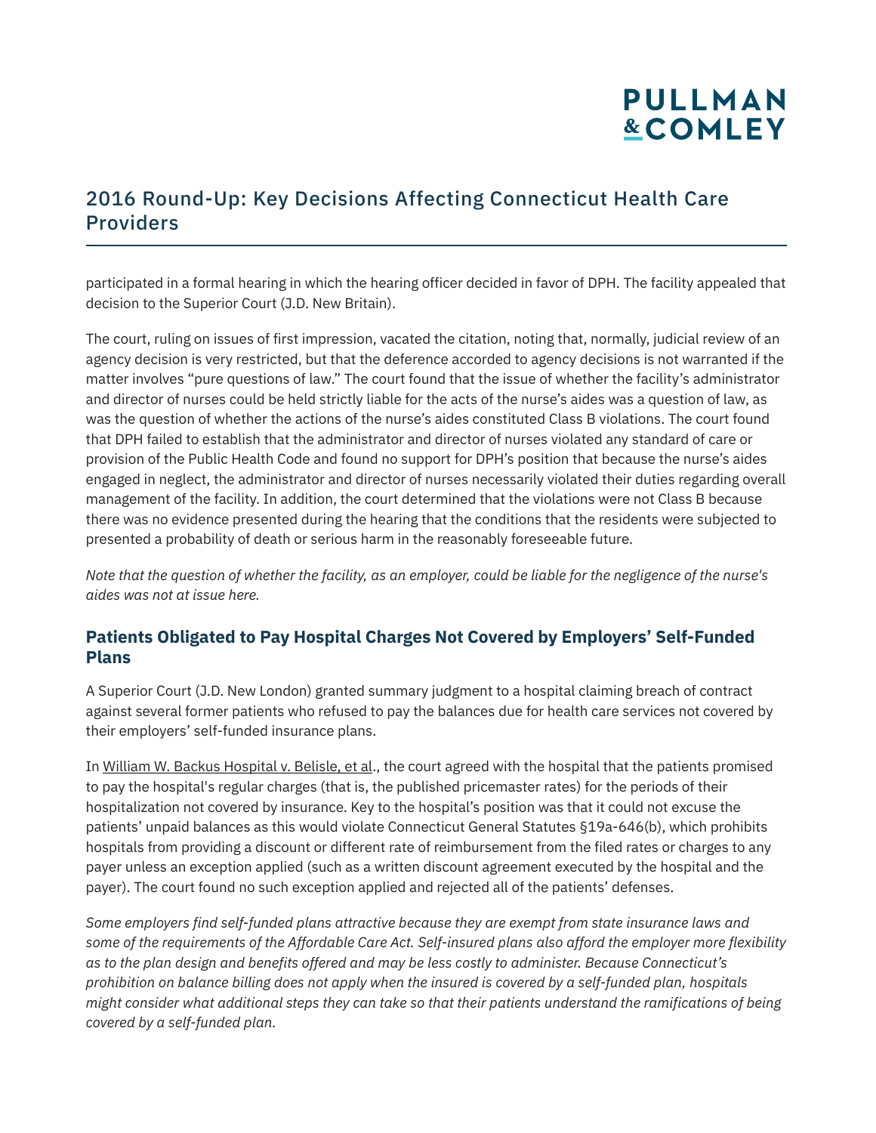## 2016 Round-Up: Key Decisions Affecting Connecticut Health Care Providers

participated in a formal hearing in which the hearing officer decided in favor of DPH. The facility appealed that decision to the Superior Court (J.D. New Britain).

The court, ruling on issues of first impression, vacated the citation, noting that, normally, judicial review of an agency decision is very restricted, but that the deference accorded to agency decisions is not warranted if the matter involves "pure questions of law." The court found that the issue of whether the facility's administrator and director of nurses could be held strictly liable for the acts of the nurse's aides was a question of law, as was the question of whether the actions of the nurse's aides constituted Class B violations. The court found that DPH failed to establish that the administrator and director of nurses violated any standard of care or provision of the Public Health Code and found no support for DPH's position that because the nurse's aides engaged in neglect, the administrator and director of nurses necessarily violated their duties regarding overall management of the facility. In addition, the court determined that the violations were not Class B because there was no evidence presented during the hearing that the conditions that the residents were subjected to presented a probability of death or serious harm in the reasonably foreseeable future.

*Note that the question of whether the facility, as an employer, could be liable for the negligence of the nurse's aides was not at issue here.*

#### **Patients Obligated to Pay Hospital Charges Not Covered by Employers' Self-Funded Plans**

A Superior Court (J.D. New London) granted summary judgment to a hospital claiming breach of contract against several former patients who refused to pay the balances due for health care services not covered by their employers' self-funded insurance plans.

In William W. Backus Hospital v. Belisle, et al., the court agreed with the hospital that the patients promised to pay the hospital's regular charges (that is, the published pricemaster rates) for the periods of their hospitalization not covered by insurance. Key to the hospital's position was that it could not excuse the patients' unpaid balances as this would violate Connecticut General Statutes §19a-646(b), which prohibits hospitals from providing a discount or different rate of reimbursement from the filed rates or charges to any payer unless an exception applied (such as a written discount agreement executed by the hospital and the payer). The court found no such exception applied and rejected all of the patients' defenses.

*Some employers find self-funded plans attractive because they are exempt from state insurance laws and some of the requirements of the Affordable Care Act. Self-insured plans also afford the employer more flexibility as to the plan design and benefits offered and may be less costly to administer. Because Connecticut's prohibition on balance billing does not apply when the insured is covered by a self-funded plan, hospitals might consider what additional steps they can take so that their patients understand the ramifications of being covered by a self-funded plan.*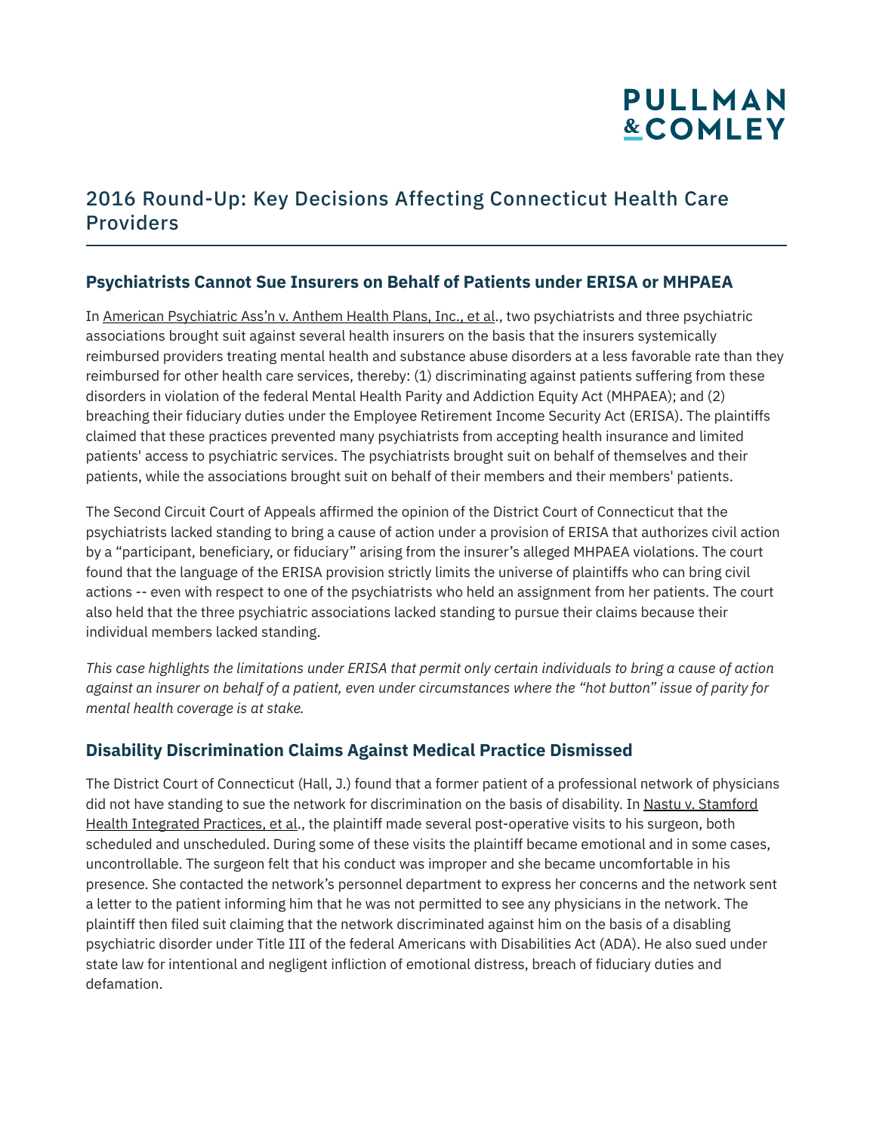## 2016 Round-Up: Key Decisions Affecting Connecticut Health Care Providers

### **Psychiatrists Cannot Sue Insurers on Behalf of Patients under ERISA or MHPAEA**

In American Psychiatric Ass'n v. Anthem Health Plans, Inc., et al., two psychiatrists and three psychiatric associations brought suit against several health insurers on the basis that the insurers systemically reimbursed providers treating mental health and substance abuse disorders at a less favorable rate than they reimbursed for other health care services, thereby: (1) discriminating against patients suffering from these disorders in violation of the federal Mental Health Parity and Addiction Equity Act (MHPAEA); and (2) breaching their fiduciary duties under the Employee Retirement Income Security Act (ERISA). The plaintiffs claimed that these practices prevented many psychiatrists from accepting health insurance and limited patients' access to psychiatric services. The psychiatrists brought suit on behalf of themselves and their patients, while the associations brought suit on behalf of their members and their members' patients.

The Second Circuit Court of Appeals affirmed the opinion of the District Court of Connecticut that the psychiatrists lacked standing to bring a cause of action under a provision of ERISA that authorizes civil action by a "participant, beneficiary, or fiduciary" arising from the insurer's alleged MHPAEA violations. The court found that the language of the ERISA provision strictly limits the universe of plaintiffs who can bring civil actions -- even with respect to one of the psychiatrists who held an assignment from her patients. The court also held that the three psychiatric associations lacked standing to pursue their claims because their individual members lacked standing.

*This case highlights the limitations under ERISA that permit only certain individuals to bring a cause of action against an insurer on behalf of a patient, even under circumstances where the "hot button" issue of parity for mental health coverage is at stake.* 

### **Disability Discrimination Claims Against Medical Practice Dismissed**

The District Court of Connecticut (Hall, J.) found that a former patient of a professional network of physicians did not have standing to sue the network for discrimination on the basis of disability. In Nastu v. Stamford Health Integrated Practices, et al., the plaintiff made several post-operative visits to his surgeon, both scheduled and unscheduled. During some of these visits the plaintiff became emotional and in some cases, uncontrollable. The surgeon felt that his conduct was improper and she became uncomfortable in his presence. She contacted the network's personnel department to express her concerns and the network sent a letter to the patient informing him that he was not permitted to see any physicians in the network. The plaintiff then filed suit claiming that the network discriminated against him on the basis of a disabling psychiatric disorder under Title III of the federal Americans with Disabilities Act (ADA). He also sued under state law for intentional and negligent infliction of emotional distress, breach of fiduciary duties and defamation.